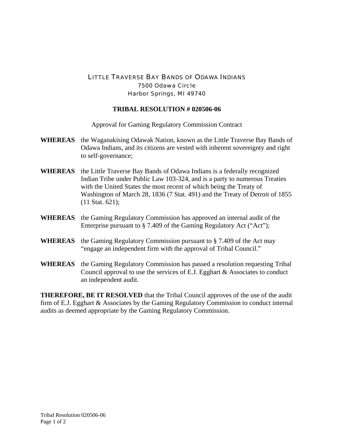## LITTLE TRAVERSE BAY BANDS OF ODAWA INDIANS 7500 Odawa Circle Harbor Springs, MI 49740

## **TRIBAL RESOLUTION # 020506-06**

Approval for Gaming Regulatory Commission Contract

- **WHEREAS** the Waganakising Odawak Nation, known as the Little Traverse Bay Bands of Odawa Indians, and its citizens are vested with inherent sovereignty and right to self-governance;
- **WHEREAS** the Little Traverse Bay Bands of Odawa Indians is a federally recognized Indian Tribe under Public Law 103-324, and is a party to numerous Treaties with the United States the most recent of which being the Treaty of Washington of March 28, 1836 (7 Stat. 491) and the Treaty of Detroit of 1855 (11 Stat. 621);
- **WHEREAS** the Gaming Regulatory Commission has approved an internal audit of the Enterprise pursuant to § 7.409 of the Gaming Regulatory Act ("Act");
- **WHEREAS** the Gaming Regulatory Commission pursuant to § 7.409 of the Act may "engage an independent firm with the approval of Tribal Council."
- **WHEREAS** the Gaming Regulatory Commission has passed a resolution requesting Tribal Council approval to use the services of E.J. Egghart & Associates to conduct an independent audit.

**THEREFORE, BE IT RESOLVED** that the Tribal Council approves of the use of the audit firm of E.J. Egghart & Associates by the Gaming Regulatory Commission to conduct internal audits as deemed appropriate by the Gaming Regulatory Commission.